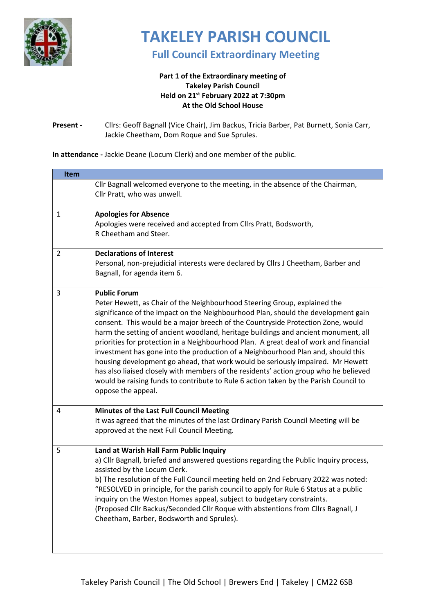

## **TAKELEY PARISH COUNCIL**

**Full Council Extraordinary Meeting** 

## **Part 1 of the Extraordinary meeting of Takeley Parish Council Held on 21st February 2022 at 7:30pm At the Old School House**

## **Present -** Cllrs: Geoff Bagnall (Vice Chair), Jim Backus, Tricia Barber, Pat Burnett, Sonia Carr, Jackie Cheetham, Dom Roque and Sue Sprules.

**In attendance -** Jackie Deane (Locum Clerk) and one member of the public.

| Item |                                                                                                                                                                                                                                                                                                                                                                                                                                                                                                                                                                                                                                                                                                                                                                                                                                     |
|------|-------------------------------------------------------------------------------------------------------------------------------------------------------------------------------------------------------------------------------------------------------------------------------------------------------------------------------------------------------------------------------------------------------------------------------------------------------------------------------------------------------------------------------------------------------------------------------------------------------------------------------------------------------------------------------------------------------------------------------------------------------------------------------------------------------------------------------------|
|      | Cllr Bagnall welcomed everyone to the meeting, in the absence of the Chairman,<br>Cllr Pratt, who was unwell.                                                                                                                                                                                                                                                                                                                                                                                                                                                                                                                                                                                                                                                                                                                       |
| 1    | <b>Apologies for Absence</b><br>Apologies were received and accepted from Cllrs Pratt, Bodsworth,<br>R Cheetham and Steer.                                                                                                                                                                                                                                                                                                                                                                                                                                                                                                                                                                                                                                                                                                          |
| 2    | <b>Declarations of Interest</b><br>Personal, non-prejudicial interests were declared by Cllrs J Cheetham, Barber and<br>Bagnall, for agenda item 6.                                                                                                                                                                                                                                                                                                                                                                                                                                                                                                                                                                                                                                                                                 |
| 3    | <b>Public Forum</b><br>Peter Hewett, as Chair of the Neighbourhood Steering Group, explained the<br>significance of the impact on the Neighbourhood Plan, should the development gain<br>consent. This would be a major breech of the Countryside Protection Zone, would<br>harm the setting of ancient woodland, heritage buildings and ancient monument, all<br>priorities for protection in a Neighbourhood Plan. A great deal of work and financial<br>investment has gone into the production of a Neighbourhood Plan and, should this<br>housing development go ahead, that work would be seriously impaired. Mr Hewett<br>has also liaised closely with members of the residents' action group who he believed<br>would be raising funds to contribute to Rule 6 action taken by the Parish Council to<br>oppose the appeal. |
| 4    | Minutes of the Last Full Council Meeting<br>It was agreed that the minutes of the last Ordinary Parish Council Meeting will be<br>approved at the next Full Council Meeting.                                                                                                                                                                                                                                                                                                                                                                                                                                                                                                                                                                                                                                                        |
| 5    | Land at Warish Hall Farm Public Inquiry<br>a) Cllr Bagnall, briefed and answered questions regarding the Public Inquiry process,<br>assisted by the Locum Clerk.<br>b) The resolution of the Full Council meeting held on 2nd February 2022 was noted:<br>"RESOLVED in principle, for the parish council to apply for Rule 6 Status at a public<br>inquiry on the Weston Homes appeal, subject to budgetary constraints.<br>(Proposed Cllr Backus/Seconded Cllr Roque with abstentions from Cllrs Bagnall, J<br>Cheetham, Barber, Bodsworth and Sprules).                                                                                                                                                                                                                                                                           |